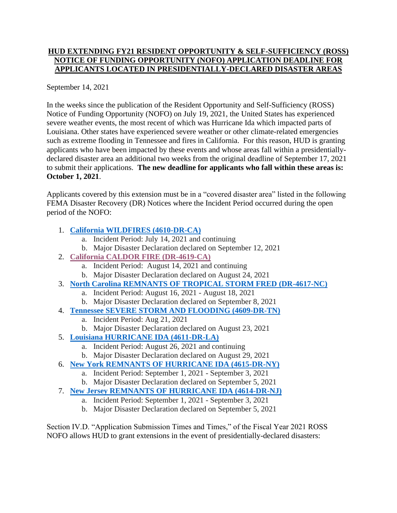## **HUD EXTENDING FY21 RESIDENT OPPORTUNITY & SELF-SUFFICIENCY (ROSS) NOTICE OF FUNDING OPPORTUNITY (NOFO) APPLICATION DEADLINE FOR APPLICANTS LOCATED IN PRESIDENTIALLY-DECLARED DISASTER AREAS**

## September 14, 2021

In the weeks since the publication of the Resident Opportunity and Self-Sufficiency (ROSS) Notice of Funding Opportunity (NOFO) on July 19, 2021, the United States has experienced severe weather events, the most recent of which was Hurricane Ida which impacted parts of Louisiana. Other states have experienced severe weather or other climate-related emergencies such as extreme flooding in Tennessee and fires in California. For this reason, HUD is granting applicants who have been impacted by these events and whose areas fall within a presidentiallydeclared disaster area an additional two weeks from the original deadline of September 17, 2021 to submit their applications. **The new deadline for applicants who fall within these areas is: October 1, 2021**.

Applicants covered by this extension must be in a "covered disaster area" listed in the following FEMA Disaster Recovery (DR) Notices where the Incident Period occurred during the open period of the NOFO:

## 1. **[California WILDFIRES \(4610-DR-CA\)](https://www.fema.gov/disaster/4610)**

- a. Incident Period: July 14, 2021 and continuing
- b. Major Disaster Declaration declared on September 12, 2021
- 2. **[California CALDOR FIRE \(DR-4619-CA\)](https://www.fema.gov/disaster/4619)**
	- a. Incident Period: August 14, 2021 and continuing
	- b. Major Disaster Declaration declared on August 24, 2021
- 3. **[North Carolina REMNANTS OF TROPICAL STORM FRED \(DR-4617-NC\)](https://www.fema.gov/disaster/4617)**
	- a. Incident Period: August 16, 2021 August 18, 2021
	- b. Major Disaster Declaration declared on September 8, 2021
- 4. **[Tennessee SEVERE STORM AND FLOODING \(4609-DR-TN\)](https://www.fema.gov/disaster/4609)**
	- a. Incident Period: Aug 21, 2021
	- b. Major Disaster Declaration declared on August 23, 2021
- 5. **[Louisiana HURRICANE IDA \(4611-DR-LA\)](https://www.fema.gov/disaster/4611)**
	- a. Incident Period: August 26, 2021 and continuing
	- b. Major Disaster Declaration declared on August 29, 2021
- 6. **[New York REMNANTS OF HURRICANE IDA \(4615-DR-NY\)](https://www.fema.gov/disaster/4615)**
	- a. Incident Period: September 1, 2021 September 3, 2021
	- b. Major Disaster Declaration declared on September 5, 2021
- 7. **[New Jersey REMNANTS OF HURRICANE IDA \(4614-DR-NJ\)](https://www.fema.gov/disaster/4614)**
	- a. Incident Period: September 1, 2021 September 3, 2021
	- b. Major Disaster Declaration declared on September 5, 2021

Section IV.D. "Application Submission Times and Times," of the Fiscal Year 2021 ROSS NOFO allows HUD to grant extensions in the event of presidentially-declared disasters: